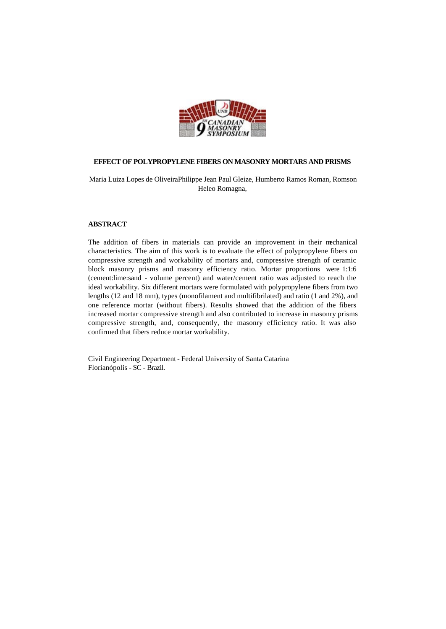

# **EFFECT OF POLYPROPYLENE FIBERS ON MASONRY MORTARS AND PRISMS**

Maria Luiza Lopes de OliveiraPhilippe Jean Paul Gleize, Humberto Ramos Roman, Romson Heleo Romagna,

# **ABSTRACT**

The addition of fibers in materials can provide an improvement in their mechanical characteristics. The aim of this work is to evaluate the effect of polypropylene fibers on compressive strength and workability of mortars and, compressive strength of ceramic block masonry prisms and masonry efficiency ratio. Mortar proportions were 1:1:6 (cement:lime:sand - volume percent) and water/cement ratio was adjusted to reach the ideal workability. Six different mortars were formulated with polypropylene fibers from two lengths (12 and 18 mm), types (monofilament and multifibrilated) and ratio (1 and 2%), and one reference mortar (without fibers). Results showed that the addition of the fibers increased mortar compressive strength and also contributed to increase in masonry prisms compressive strength, and, consequently, the masonry efficiency ratio. It was also confirmed that fibers reduce mortar workability.

Civil Engineering Department - Federal University of Santa Catarina Florianópolis - SC - Brazil.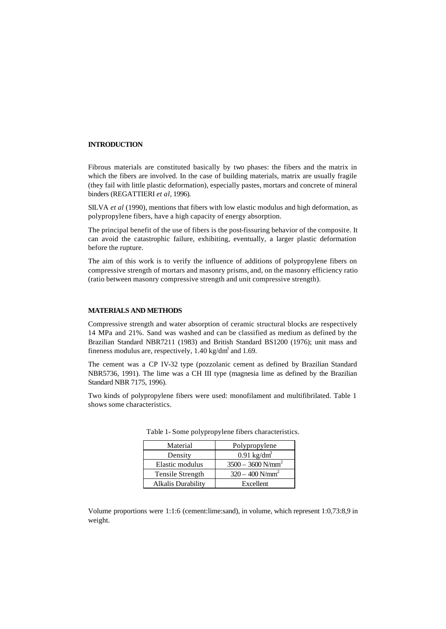# **INTRODUCTION**

Fibrous materials are constituted basically by two phases: the fibers and the matrix in which the fibers are involved. In the case of building materials, matrix are usually fragile (they fail with little plastic deformation), especially pastes, mortars and concrete of mineral binders (REGATTIERI *et al*, 1996).

SILVA *et al* (1990), mentions that fibers with low elastic modulus and high deformation, as polypropylene fibers, have a high capacity of energy absorption.

The principal benefit of the use of fibers is the post-fissuring behavior of the composite. It can avoid the catastrophic failure, exhibiting, eventually, a larger plastic deformation before the rupture.

The aim of this work is to verify the influence of additions of polypropylene fibers on compressive strength of mortars and masonry prisms, and, on the masonry efficiency ratio (ratio between masonry compressive strength and unit compressive strength).

### **MATERIALS AND METHODS**

Compressive strength and water absorption of ceramic structural blocks are respectively 14 MPa and 21%. Sand was washed and can be classified as medium as defined by the Brazilian Standard NBR7211 (1983) and British Standard BS1200 (1976); unit mass and fineness modulus are, respectively,  $1.40 \text{ kg/dm}^3$  and  $1.69$ .

The cement was a CP IV-32 type (pozzolanic cement as defined by Brazilian Standard NBR5736, 1991). The lime was a CH III type (magnesia lime as defined by the Brazilian Standard NBR 7175, 1996).

Two kinds of polypropylene fibers were used: monofilament and multifibrilated. Table 1 shows some characteristics.

| Material                  | Polypropylene                   |
|---------------------------|---------------------------------|
| Density                   | $0.91$ kg/dm <sup>3</sup>       |
| Elastic modulus           | $3500 - 3600$ N/mm <sup>2</sup> |
| Tensile Strength          | $320 - 400$ N/mm <sup>2</sup>   |
| <b>Alkalis Durability</b> | Excellent                       |

Table 1- Some polypropylene fibers characteristics.

Volume proportions were 1:1:6 (cement:lime:sand), in volume, which represent 1:0,73:8,9 in weight.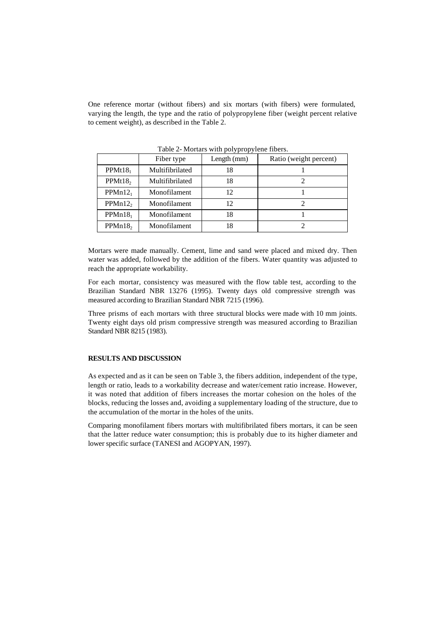One reference mortar (without fibers) and six mortars (with fibers) were formulated, varying the length, the type and the ratio of polypropylene fiber (weight percent relative to cement weight), as described in the Table 2.

|                     |                 | .           |                        |
|---------------------|-----------------|-------------|------------------------|
|                     | Fiber type      | Length (mm) | Ratio (weight percent) |
| PPMt18 <sub>1</sub> | Multifibrilated | 18          |                        |
| PPMt18 <sub>2</sub> | Multifibrilated | 18          |                        |
| $PPMn12_1$          | Monofilament    | 12          |                        |
| PPMn12 <sub>2</sub> | Monofilament    | 12          |                        |
| PPMn18 <sub>1</sub> | Monofilament    | 18          |                        |
| PPMn18 <sub>2</sub> | Monofilament    | 18          |                        |

Table 2- Mortars with polypropylene fibers.

Mortars were made manually. Cement, lime and sand were placed and mixed dry. Then water was added, followed by the addition of the fibers. Water quantity was adjusted to reach the appropriate workability.

For each mortar, consistency was measured with the flow table test, according to the Brazilian Standard NBR 13276 (1995). Twenty days old compressive strength was measured according to Brazilian Standard NBR 7215 (1996).

Three prisms of each mortars with three structural blocks were made with 10 mm joints. Twenty eight days old prism compressive strength was measured according to Brazilian Standard NBR 8215 (1983).

#### **RESULTS AND DISCUSSION**

As expected and as it can be seen on Table 3, the fibers addition, independent of the type, length or ratio, leads to a workability decrease and water/cement ratio increase. However, it was noted that addition of fibers increases the mortar cohesion on the holes of the blocks, reducing the losses and, avoiding a supplementary loading of the structure, due to the accumulation of the mortar in the holes of the units.

Comparing monofilament fibers mortars with multifibrilated fibers mortars, it can be seen that the latter reduce water consumption; this is probably due to its higher diameter and lower specific surface (TANESI and AGOPYAN, 1997).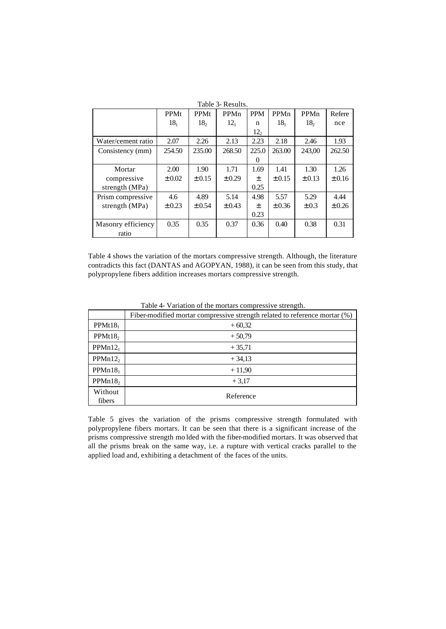|                    |                 |                 | Table 3- Results. |                 |                 |                 |            |
|--------------------|-----------------|-----------------|-------------------|-----------------|-----------------|-----------------|------------|
|                    | PPMt            | <b>PPMt</b>     | PPMn              | <b>PPM</b>      | PPMn            | PPMn            | Refere     |
|                    | 18 <sub>1</sub> | 18 <sub>2</sub> | 12 <sub>1</sub>   | n               | 18 <sub>1</sub> | 18 <sub>2</sub> | nce        |
|                    |                 |                 |                   | 12 <sub>2</sub> |                 |                 |            |
| Water/cement ratio | 2.07            | 2.26            | 2.13              | 2.23            | 2.18            | 2.46            | 1.93       |
| Consistency (mm)   | 254.50          | 235.00          | 268.50            | 225.0           | 263.00          | 243.00          | 262.50     |
|                    |                 |                 |                   | $_{0}$          |                 |                 |            |
| Mortar             | 2.00            | 1.90            | 1.71              | 1.69            | 1.41            | 1.30            | 1.26       |
| compressive        | $\pm 0.02$      | $\pm 0.15$      | ± 0.29            | 土               | $\pm 0.15$      | ± 0.13          | $\pm 0.16$ |
| strength (MPa)     |                 |                 |                   | 0.25            |                 |                 |            |
| Prism compressive  | 4.6             | 4.89            | 5.14              | 4.98            | 5.57            | 5.29            | 4.44       |
| strength (MPa)     | ± 0.23          | ± 0.54          | ± 0.43            | 土               | ± 0.36          | $\pm 0.3$       | ± 0.26     |
|                    |                 |                 |                   | 0.23            |                 |                 |            |
| Masonry efficiency | 0.35            | 0.35            | 0.37              | 0.36            | 0.40            | 0.38            | 0.31       |
| ratio              |                 |                 |                   |                 |                 |                 |            |

Table 4 shows the variation of the mortars compressive strength. Although, the literature contradicts this fact (DANTAS and AGOPYAN, 1988), it can be seen from this study, that polypropylene fibers addition increases mortars compressive strength.

|                     | Fiber-modified mortar compressive strength related to reference mortar (%) |
|---------------------|----------------------------------------------------------------------------|
| PPMt18 <sub>1</sub> | $+60,32$                                                                   |
| PPMt18 <sub>2</sub> | $+50,79$                                                                   |
| PPMn12 <sub>1</sub> | $+35,71$                                                                   |
| PPMn12 <sub>2</sub> | $+34,13$                                                                   |
| PPMn18 <sub>1</sub> | $+11,90$                                                                   |
| PPMn18 <sub>2</sub> | $+3,17$                                                                    |
| Without<br>fibers   | Reference                                                                  |

Table 4- Variation of the mortars compressive strength.

Table 5 gives the variation of the prisms compressive strength formulated with polypropylene fibers mortars. It can be seen that there is a significant increase of the prisms compressive strength mo lded with the fiber-modified mortars. It was observed that all the prisms break on the same way, i.e. a rupture with vertical cracks parallel to the applied load and, exhibiting a detachment of the faces of the units.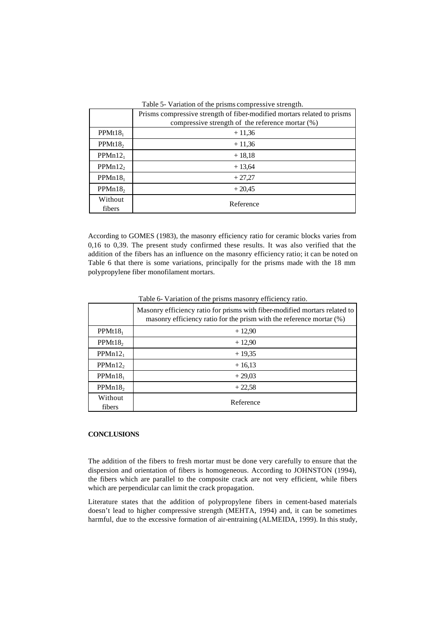|                     | Table 5- Variation of the prisms compressive strength.                  |
|---------------------|-------------------------------------------------------------------------|
|                     | Prisms compressive strength of fiber-modified mortars related to prisms |
|                     | compressive strength of the reference mortar $(\%)$                     |
| $PPMt18_1$          | $+11,36$                                                                |
| PPMt18 <sub>2</sub> | $+11,36$                                                                |
| $PPMn12_1$          | $+18,18$                                                                |
| PPMn12 <sub>2</sub> | $+13,64$                                                                |
| PPMn18 <sub>1</sub> | $+27,27$                                                                |
| PPMn18 <sub>2</sub> | $+20,45$                                                                |
| Without<br>fibers   | Reference                                                               |

According to GOMES (1983), the masonry efficiency ratio for ceramic blocks varies from 0,16 to 0,39. The present study confirmed these results. It was also verified that the addition of the fibers has an influence on the masonry efficiency ratio; it can be noted on Table 6 that there is some variations, principally for the prisms made with the 18 mm polypropylene fiber monofilament mortars.

|                     | Masonry efficiency ratio for prisms with fiber-modified mortars related to<br>masonry efficiency ratio for the prism with the reference mortar (%) |
|---------------------|----------------------------------------------------------------------------------------------------------------------------------------------------|
| PPMt18 <sub>1</sub> | $+12,90$                                                                                                                                           |
| PPMt18 <sub>2</sub> | $+12,90$                                                                                                                                           |
| $PPMn12_1$          | $+19,35$                                                                                                                                           |
| PPMn12 <sub>2</sub> | $+16,13$                                                                                                                                           |
| PPMn18 <sub>1</sub> | $+29,03$                                                                                                                                           |
| PPMn18 <sub>2</sub> | $+22,58$                                                                                                                                           |
| Without<br>fibers   | Reference                                                                                                                                          |

Table 6- Variation of the prisms masonry efficiency ratio.

# **CONCLUSIONS**

The addition of the fibers to fresh mortar must be done very carefully to ensure that the dispersion and orientation of fibers is homogeneous. According to JOHNSTON (1994), the fibers which are parallel to the composite crack are not very efficient, while fibers which are perpendicular can limit the crack propagation.

Literature states that the addition of polypropylene fibers in cement-based materials doesn't lead to higher compressive strength (MEHTA, 1994) and, it can be sometimes harmful, due to the excessive formation of air-entraining (ALMEIDA, 1999). In this study,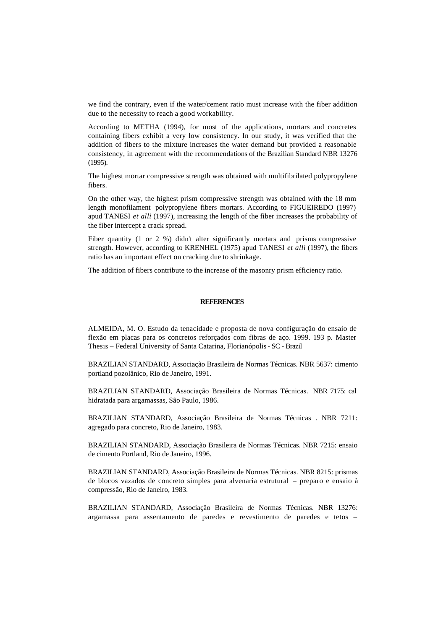we find the contrary, even if the water/cement ratio must increase with the fiber addition due to the necessity to reach a good workability.

According to METHA (1994), for most of the applications, mortars and concretes containing fibers exhibit a very low consistency. In our study, it was verified that the addition of fibers to the mixture increases the water demand but provided a reasonable consistency, in agreement with the recommendations of the Brazilian Standard NBR 13276 (1995).

The highest mortar compressive strength was obtained with multifibrilated polypropylene fibers.

On the other way, the highest prism compressive strength was obtained with the 18 mm length monofilament polypropylene fibers mortars. According to FIGUEIREDO (1997) apud TANESI *et alli* (1997), increasing the length of the fiber increases the probability of the fiber intercept a crack spread.

Fiber quantity (1 or 2 %) didn't alter significantly mortars and prisms compressive strength. However, according to KRENHEL (1975) apud TANESI *et alli* (1997), the fibers ratio has an important effect on cracking due to shrinkage.

The addition of fibers contribute to the increase of the masonry prism efficiency ratio.

#### **REFERENCES**

ALMEIDA, M. O. Estudo da tenacidade e proposta de nova configuração do ensaio de flexão em placas para os concretos reforçados com fibras de aço. 1999. 193 p. Master Thesis – Federal University of Santa Catarina, Florianópolis - SC - Brazil

BRAZILIAN STANDARD, Associação Brasileira de Normas Técnicas. NBR 5637: cimento portland pozolânico, Rio de Janeiro, 1991.

BRAZILIAN STANDARD, Associação Brasileira de Normas Técnicas. NBR 7175: cal hidratada para argamassas, São Paulo, 1986.

BRAZILIAN STANDARD, Associação Brasileira de Normas Técnicas . NBR 7211: agregado para concreto, Rio de Janeiro, 1983.

BRAZILIAN STANDARD, Associação Brasileira de Normas Técnicas. NBR 7215: ensaio de cimento Portland, Rio de Janeiro, 1996.

BRAZILIAN STANDARD, Associação Brasileira de Normas Técnicas. NBR 8215: prismas de blocos vazados de concreto simples para alvenaria estrutural – preparo e ensaio à compressão, Rio de Janeiro, 1983.

BRAZILIAN STANDARD, Associação Brasileira de Normas Técnicas. NBR 13276: argamassa para assentamento de paredes e revestimento de paredes e tetos –